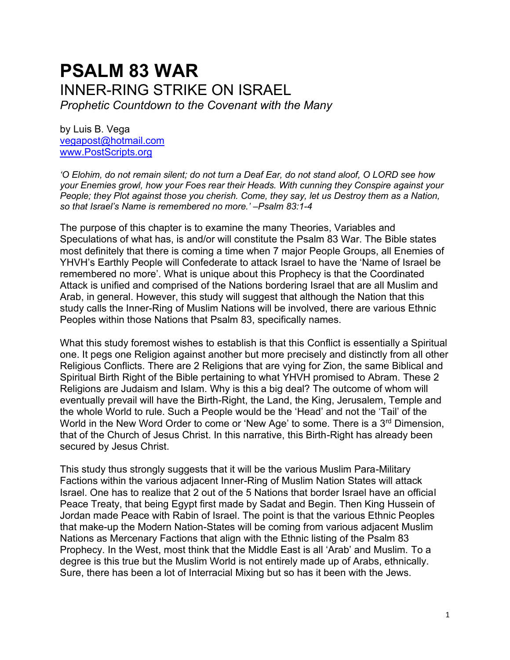# **PSALM 83 WAR** INNER-RING STRIKE ON ISRAEL *Prophetic Countdown to the Covenant with the Many*

by Luis B. Vega [vegapost@hotmail.com](mailto:vegapost@hotmail.com) [www.PostScripts.org](http://www.postscripts.org/)

*'O Elohim, do not remain silent; do not turn a Deaf Ear, do not stand aloof, O LORD see how your Enemies growl, how your Foes rear their Heads. With cunning they Conspire against your People; they Plot against those you cherish. Come, they say, let us Destroy them as a Nation, so that Israel's Name is remembered no more.' –Psalm 83:1-4*

The purpose of this chapter is to examine the many Theories, Variables and Speculations of what has, is and/or will constitute the Psalm 83 War. The Bible states most definitely that there is coming a time when 7 major People Groups, all Enemies of YHVH's Earthly People will Confederate to attack Israel to have the 'Name of Israel be remembered no more'. What is unique about this Prophecy is that the Coordinated Attack is unified and comprised of the Nations bordering Israel that are all Muslim and Arab, in general. However, this study will suggest that although the Nation that this study calls the Inner-Ring of Muslim Nations will be involved, there are various Ethnic Peoples within those Nations that Psalm 83, specifically names.

What this study foremost wishes to establish is that this Conflict is essentially a Spiritual one. It pegs one Religion against another but more precisely and distinctly from all other Religious Conflicts. There are 2 Religions that are vying for Zion, the same Biblical and Spiritual Birth Right of the Bible pertaining to what YHVH promised to Abram. These 2 Religions are Judaism and Islam. Why is this a big deal? The outcome of whom will eventually prevail will have the Birth-Right, the Land, the King, Jerusalem, Temple and the whole World to rule. Such a People would be the 'Head' and not the 'Tail' of the World in the New Word Order to come or 'New Age' to some. There is a 3<sup>rd</sup> Dimension, that of the Church of Jesus Christ. In this narrative, this Birth-Right has already been secured by Jesus Christ.

This study thus strongly suggests that it will be the various Muslim Para-Military Factions within the various adjacent Inner-Ring of Muslim Nation States will attack Israel. One has to realize that 2 out of the 5 Nations that border Israel have an official Peace Treaty, that being Egypt first made by Sadat and Begin. Then King Hussein of Jordan made Peace with Rabin of Israel. The point is that the various Ethnic Peoples that make-up the Modern Nation-States will be coming from various adjacent Muslim Nations as Mercenary Factions that align with the Ethnic listing of the Psalm 83 Prophecy. In the West, most think that the Middle East is all 'Arab' and Muslim. To a degree is this true but the Muslim World is not entirely made up of Arabs, ethnically. Sure, there has been a lot of Interracial Mixing but so has it been with the Jews.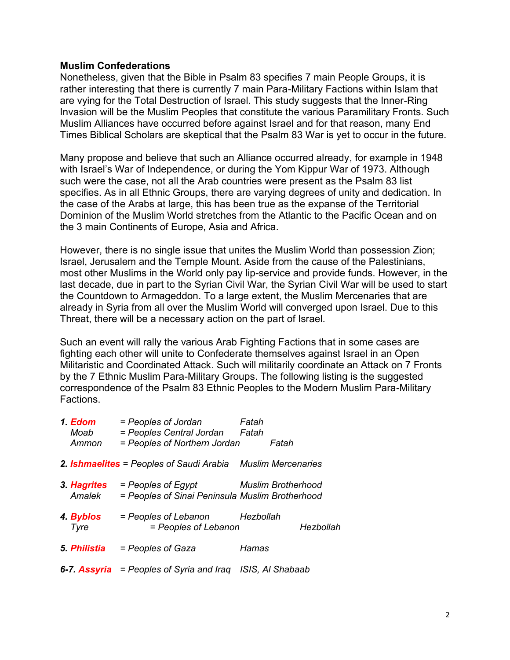## **Muslim Confederations**

Nonetheless, given that the Bible in Psalm 83 specifies 7 main People Groups, it is rather interesting that there is currently 7 main Para-Military Factions within Islam that are vying for the Total Destruction of Israel. This study suggests that the Inner-Ring Invasion will be the Muslim Peoples that constitute the various Paramilitary Fronts. Such Muslim Alliances have occurred before against Israel and for that reason, many End Times Biblical Scholars are skeptical that the Psalm 83 War is yet to occur in the future.

Many propose and believe that such an Alliance occurred already, for example in 1948 with Israel's War of Independence, or during the Yom Kippur War of 1973. Although such were the case, not all the Arab countries were present as the Psalm 83 list specifies. As in all Ethnic Groups, there are varying degrees of unity and dedication. In the case of the Arabs at large, this has been true as the expanse of the Territorial Dominion of the Muslim World stretches from the Atlantic to the Pacific Ocean and on the 3 main Continents of Europe, Asia and Africa.

However, there is no single issue that unites the Muslim World than possession Zion; Israel, Jerusalem and the Temple Mount. Aside from the cause of the Palestinians, most other Muslims in the World only pay lip-service and provide funds. However, in the last decade, due in part to the Syrian Civil War, the Syrian Civil War will be used to start the Countdown to Armageddon. To a large extent, the Muslim Mercenaries that are already in Syria from all over the Muslim World will converged upon Israel. Due to this Threat, there will be a necessary action on the part of Israel.

Such an event will rally the various Arab Fighting Factions that in some cases are fighting each other will unite to Confederate themselves against Israel in an Open Militaristic and Coordinated Attack. Such will militarily coordinate an Attack on 7 Fronts by the 7 Ethnic Muslim Para-Military Groups. The following listing is the suggested correspondence of the Psalm 83 Ethnic Peoples to the Modern Muslim Para-Military Factions.

| 1. Edom<br>Moab<br>Ammon | = Peoples of Jordan<br>= Peoples Central Jordan<br>= Peoples of Northern Jordan | Fatah<br>Fatah            | Fatah |           |
|--------------------------|---------------------------------------------------------------------------------|---------------------------|-------|-----------|
|                          | 2. <b>Ishmaelites</b> = Peoples of Saudi Arabia Muslim Mercenaries              |                           |       |           |
| 3. Hagrites<br>Amalek    | = Peoples of Egypt<br>= Peoples of Sinai Peninsula Muslim Brotherhood           | <b>Muslim Brotherhood</b> |       |           |
| 4. Byblos<br>Tyre        | = Peoples of Lebanon<br>= Peoples of Lebanon                                    | Hezbollah                 |       | Hezbollah |
| 5. Philistia             | = Peoples of Gaza                                                               | Hamas                     |       |           |
|                          | <b>6-7. Assyria</b> = Peoples of Syria and Iraq ISIS, AI Shabaab                |                           |       |           |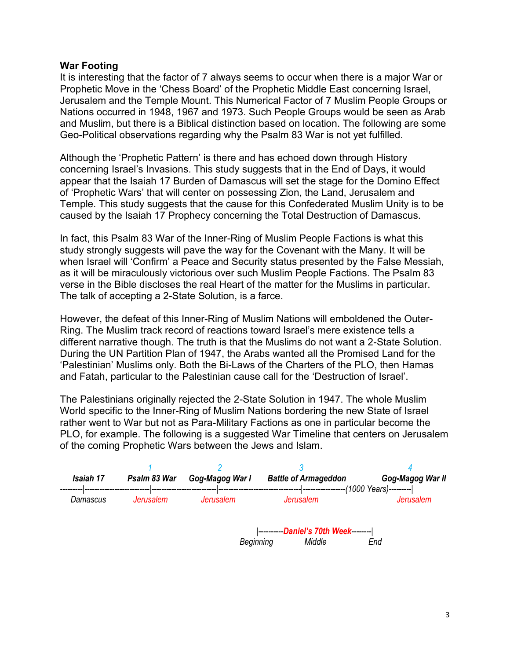## **War Footing**

It is interesting that the factor of 7 always seems to occur when there is a major War or Prophetic Move in the 'Chess Board' of the Prophetic Middle East concerning Israel, Jerusalem and the Temple Mount. This Numerical Factor of 7 Muslim People Groups or Nations occurred in 1948, 1967 and 1973. Such People Groups would be seen as Arab and Muslim, but there is a Biblical distinction based on location. The following are some Geo-Political observations regarding why the Psalm 83 War is not yet fulfilled.

Although the 'Prophetic Pattern' is there and has echoed down through History concerning Israel's Invasions. This study suggests that in the End of Days, it would appear that the Isaiah 17 Burden of Damascus will set the stage for the Domino Effect of 'Prophetic Wars' that will center on possessing Zion, the Land, Jerusalem and Temple. This study suggests that the cause for this Confederated Muslim Unity is to be caused by the Isaiah 17 Prophecy concerning the Total Destruction of Damascus.

In fact, this Psalm 83 War of the Inner-Ring of Muslim People Factions is what this study strongly suggests will pave the way for the Covenant with the Many. It will be when Israel will 'Confirm' a Peace and Security status presented by the False Messiah, as it will be miraculously victorious over such Muslim People Factions. The Psalm 83 verse in the Bible discloses the real Heart of the matter for the Muslims in particular. The talk of accepting a 2-State Solution, is a farce.

However, the defeat of this Inner-Ring of Muslim Nations will emboldened the Outer-Ring. The Muslim track record of reactions toward Israel's mere existence tells a different narrative though. The truth is that the Muslims do not want a 2-State Solution. During the UN Partition Plan of 1947, the Arabs wanted all the Promised Land for the 'Palestinian' Muslims only. Both the Bi-Laws of the Charters of the PLO, then Hamas and Fatah, particular to the Palestinian cause call for the 'Destruction of Israel'.

The Palestinians originally rejected the 2-State Solution in 1947. The whole Muslim World specific to the Inner-Ring of Muslim Nations bordering the new State of Israel rather went to War but not as Para-Military Factions as one in particular become the PLO, for example. The following is a suggested War Timeline that centers on Jerusalem of the coming Prophetic Wars between the Jews and Islam.

| Isaiah 17 | Psalm 83 War | Gog-Magog War I  | <b>Battle of Armageddon</b>            | Gog-Magog War II<br>-(1000 Years)--------- |
|-----------|--------------|------------------|----------------------------------------|--------------------------------------------|
| Damascus  | Jerusalem    | <b>Jerusalem</b> | <b>Jerusalem</b>                       | Jerusalem                                  |
|           |              | Beginning        | --Daniel's 70th Week--------<br>Middle | End                                        |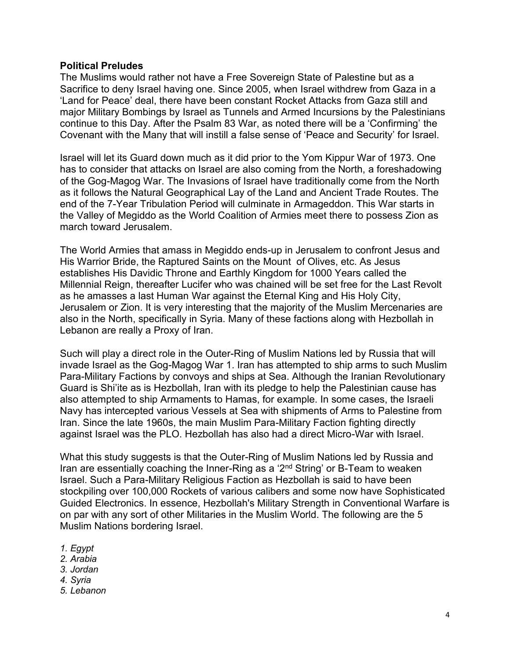## **Political Preludes**

The Muslims would rather not have a Free Sovereign State of Palestine but as a Sacrifice to deny Israel having one. Since 2005, when Israel withdrew from Gaza in a 'Land for Peace' deal, there have been constant Rocket Attacks from Gaza still and major Military Bombings by Israel as Tunnels and Armed Incursions by the Palestinians continue to this Day. After the Psalm 83 War, as noted there will be a 'Confirming' the Covenant with the Many that will instill a false sense of 'Peace and Security' for Israel.

Israel will let its Guard down much as it did prior to the Yom Kippur War of 1973. One has to consider that attacks on Israel are also coming from the North, a foreshadowing of the Gog-Magog War. The Invasions of Israel have traditionally come from the North as it follows the Natural Geographical Lay of the Land and Ancient Trade Routes. The end of the 7-Year Tribulation Period will culminate in Armageddon. This War starts in the Valley of Megiddo as the World Coalition of Armies meet there to possess Zion as march toward Jerusalem.

The World Armies that amass in Megiddo ends-up in Jerusalem to confront Jesus and His Warrior Bride, the Raptured Saints on the Mount of Olives, etc. As Jesus establishes His Davidic Throne and Earthly Kingdom for 1000 Years called the Millennial Reign, thereafter Lucifer who was chained will be set free for the Last Revolt as he amasses a last Human War against the Eternal King and His Holy City, Jerusalem or Zion. It is very interesting that the majority of the Muslim Mercenaries are also in the North, specifically in Syria. Many of these factions along with Hezbollah in Lebanon are really a Proxy of Iran.

Such will play a direct role in the Outer-Ring of Muslim Nations led by Russia that will invade Israel as the Gog-Magog War 1. Iran has attempted to ship arms to such Muslim Para-Military Factions by convoys and ships at Sea. Although the Iranian Revolutionary Guard is Shi'ite as is Hezbollah, Iran with its pledge to help the Palestinian cause has also attempted to ship Armaments to Hamas, for example. In some cases, the Israeli Navy has intercepted various Vessels at Sea with shipments of Arms to Palestine from Iran. Since the late 1960s, the main Muslim Para-Military Faction fighting directly against Israel was the PLO. Hezbollah has also had a direct Micro-War with Israel.

What this study suggests is that the Outer-Ring of Muslim Nations led by Russia and Iran are essentially coaching the Inner-Ring as a '2<sup>nd</sup> String' or B-Team to weaken Israel. Such a Para-Military Religious Faction as Hezbollah is said to have been stockpiling over 100,000 Rockets of various calibers and some now have Sophisticated Guided Electronics. In essence, Hezbollah's Military Strength in Conventional Warfare is on par with any sort of other Militaries in the Muslim World. The following are the 5 Muslim Nations bordering Israel.

- *1. Egypt*
- *2. Arabia*
- *3. Jordan*
- *4. Syria*
- *5. Lebanon*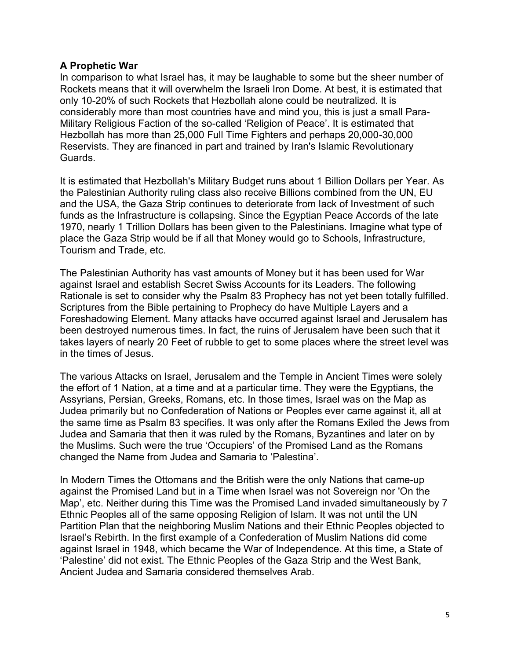# **A Prophetic War**

In comparison to what Israel has, it may be laughable to some but the sheer number of Rockets means that it will overwhelm the Israeli Iron Dome. At best, it is estimated that only 10-20% of such Rockets that Hezbollah alone could be neutralized. It is considerably more than most countries have and mind you, this is just a small Para-Military Religious Faction of the so-called 'Religion of Peace'. It is estimated that Hezbollah has more than 25,000 Full Time Fighters and perhaps 20,000-30,000 Reservists. They are financed in part and trained by Iran's Islamic Revolutionary Guards.

It is estimated that Hezbollah's Military Budget runs about 1 Billion Dollars per Year. As the Palestinian Authority ruling class also receive Billions combined from the UN, EU and the USA, the Gaza Strip continues to deteriorate from lack of Investment of such funds as the Infrastructure is collapsing. Since the Egyptian Peace Accords of the late 1970, nearly 1 Trillion Dollars has been given to the Palestinians. Imagine what type of place the Gaza Strip would be if all that Money would go to Schools, Infrastructure, Tourism and Trade, etc.

The Palestinian Authority has vast amounts of Money but it has been used for War against Israel and establish Secret Swiss Accounts for its Leaders. The following Rationale is set to consider why the Psalm 83 Prophecy has not yet been totally fulfilled. Scriptures from the Bible pertaining to Prophecy do have Multiple Layers and a Foreshadowing Element. Many attacks have occurred against Israel and Jerusalem has been destroyed numerous times. In fact, the ruins of Jerusalem have been such that it takes layers of nearly 20 Feet of rubble to get to some places where the street level was in the times of Jesus.

The various Attacks on Israel, Jerusalem and the Temple in Ancient Times were solely the effort of 1 Nation, at a time and at a particular time. They were the Egyptians, the Assyrians, Persian, Greeks, Romans, etc. In those times, Israel was on the Map as Judea primarily but no Confederation of Nations or Peoples ever came against it, all at the same time as Psalm 83 specifies. It was only after the Romans Exiled the Jews from Judea and Samaria that then it was ruled by the Romans, Byzantines and later on by the Muslims. Such were the true 'Occupiers' of the Promised Land as the Romans changed the Name from Judea and Samaria to 'Palestina'.

In Modern Times the Ottomans and the British were the only Nations that came-up against the Promised Land but in a Time when Israel was not Sovereign nor 'On the Map', etc. Neither during this Time was the Promised Land invaded simultaneously by 7 Ethnic Peoples all of the same opposing Religion of Islam. It was not until the UN Partition Plan that the neighboring Muslim Nations and their Ethnic Peoples objected to Israel's Rebirth. In the first example of a Confederation of Muslim Nations did come against Israel in 1948, which became the War of Independence. At this time, a State of 'Palestine' did not exist. The Ethnic Peoples of the Gaza Strip and the West Bank, Ancient Judea and Samaria considered themselves Arab.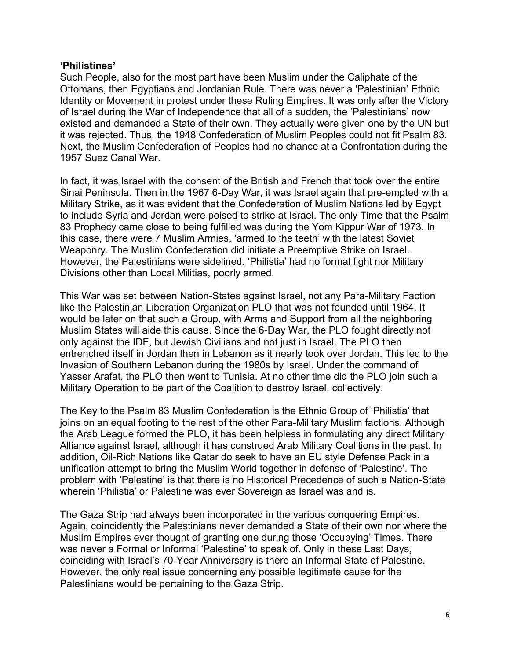## **'Philistines'**

Such People, also for the most part have been Muslim under the Caliphate of the Ottomans, then Egyptians and Jordanian Rule. There was never a 'Palestinian' Ethnic Identity or Movement in protest under these Ruling Empires. It was only after the Victory of Israel during the War of Independence that all of a sudden, the 'Palestinians' now existed and demanded a State of their own. They actually were given one by the UN but it was rejected. Thus, the 1948 Confederation of Muslim Peoples could not fit Psalm 83. Next, the Muslim Confederation of Peoples had no chance at a Confrontation during the 1957 Suez Canal War.

In fact, it was Israel with the consent of the British and French that took over the entire Sinai Peninsula. Then in the 1967 6-Day War, it was Israel again that pre-empted with a Military Strike, as it was evident that the Confederation of Muslim Nations led by Egypt to include Syria and Jordan were poised to strike at Israel. The only Time that the Psalm 83 Prophecy came close to being fulfilled was during the Yom Kippur War of 1973. In this case, there were 7 Muslim Armies, 'armed to the teeth' with the latest Soviet Weaponry. The Muslim Confederation did initiate a Preemptive Strike on Israel. However, the Palestinians were sidelined. 'Philistia' had no formal fight nor Military Divisions other than Local Militias, poorly armed.

This War was set between Nation-States against Israel, not any Para-Military Faction like the Palestinian Liberation Organization PLO that was not founded until 1964. It would be later on that such a Group, with Arms and Support from all the neighboring Muslim States will aide this cause. Since the 6-Day War, the PLO fought directly not only against the IDF, but Jewish Civilians and not just in Israel. The PLO then entrenched itself in Jordan then in Lebanon as it nearly took over Jordan. This led to the Invasion of Southern Lebanon during the 1980s by Israel. Under the command of Yasser Arafat, the PLO then went to Tunisia. At no other time did the PLO join such a Military Operation to be part of the Coalition to destroy Israel, collectively.

The Key to the Psalm 83 Muslim Confederation is the Ethnic Group of 'Philistia' that joins on an equal footing to the rest of the other Para-Military Muslim factions. Although the Arab League formed the PLO, it has been helpless in formulating any direct Military Alliance against Israel, although it has construed Arab Military Coalitions in the past. In addition, Oil-Rich Nations like Qatar do seek to have an EU style Defense Pack in a unification attempt to bring the Muslim World together in defense of 'Palestine'. The problem with 'Palestine' is that there is no Historical Precedence of such a Nation-State wherein 'Philistia' or Palestine was ever Sovereign as Israel was and is.

The Gaza Strip had always been incorporated in the various conquering Empires. Again, coincidently the Palestinians never demanded a State of their own nor where the Muslim Empires ever thought of granting one during those 'Occupying' Times. There was never a Formal or Informal 'Palestine' to speak of. Only in these Last Days, coinciding with Israel's 70-Year Anniversary is there an Informal State of Palestine. However, the only real issue concerning any possible legitimate cause for the Palestinians would be pertaining to the Gaza Strip.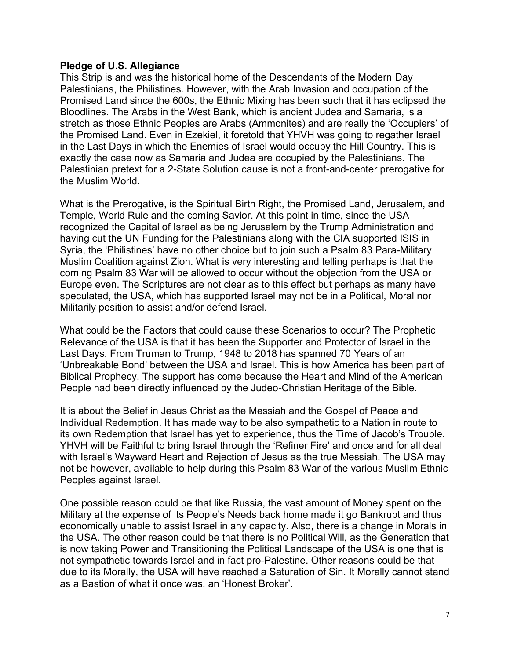## **Pledge of U.S. Allegiance**

This Strip is and was the historical home of the Descendants of the Modern Day Palestinians, the Philistines. However, with the Arab Invasion and occupation of the Promised Land since the 600s, the Ethnic Mixing has been such that it has eclipsed the Bloodlines. The Arabs in the West Bank, which is ancient Judea and Samaria, is a stretch as those Ethnic Peoples are Arabs (Ammonites) and are really the 'Occupiers' of the Promised Land. Even in Ezekiel, it foretold that YHVH was going to regather Israel in the Last Days in which the Enemies of Israel would occupy the Hill Country. This is exactly the case now as Samaria and Judea are occupied by the Palestinians. The Palestinian pretext for a 2-State Solution cause is not a front-and-center prerogative for the Muslim World.

What is the Prerogative, is the Spiritual Birth Right, the Promised Land, Jerusalem, and Temple, World Rule and the coming Savior. At this point in time, since the USA recognized the Capital of Israel as being Jerusalem by the Trump Administration and having cut the UN Funding for the Palestinians along with the CIA supported ISIS in Syria, the 'Philistines' have no other choice but to join such a Psalm 83 Para-Military Muslim Coalition against Zion. What is very interesting and telling perhaps is that the coming Psalm 83 War will be allowed to occur without the objection from the USA or Europe even. The Scriptures are not clear as to this effect but perhaps as many have speculated, the USA, which has supported Israel may not be in a Political, Moral nor Militarily position to assist and/or defend Israel.

What could be the Factors that could cause these Scenarios to occur? The Prophetic Relevance of the USA is that it has been the Supporter and Protector of Israel in the Last Days. From Truman to Trump, 1948 to 2018 has spanned 70 Years of an 'Unbreakable Bond' between the USA and Israel. This is how America has been part of Biblical Prophecy. The support has come because the Heart and Mind of the American People had been directly influenced by the Judeo-Christian Heritage of the Bible.

It is about the Belief in Jesus Christ as the Messiah and the Gospel of Peace and Individual Redemption. It has made way to be also sympathetic to a Nation in route to its own Redemption that Israel has yet to experience, thus the Time of Jacob's Trouble. YHVH will be Faithful to bring Israel through the 'Refiner Fire' and once and for all deal with Israel's Wayward Heart and Rejection of Jesus as the true Messiah. The USA may not be however, available to help during this Psalm 83 War of the various Muslim Ethnic Peoples against Israel.

One possible reason could be that like Russia, the vast amount of Money spent on the Military at the expense of its People's Needs back home made it go Bankrupt and thus economically unable to assist Israel in any capacity. Also, there is a change in Morals in the USA. The other reason could be that there is no Political Will, as the Generation that is now taking Power and Transitioning the Political Landscape of the USA is one that is not sympathetic towards Israel and in fact pro-Palestine. Other reasons could be that due to its Morally, the USA will have reached a Saturation of Sin. It Morally cannot stand as a Bastion of what it once was, an 'Honest Broker'.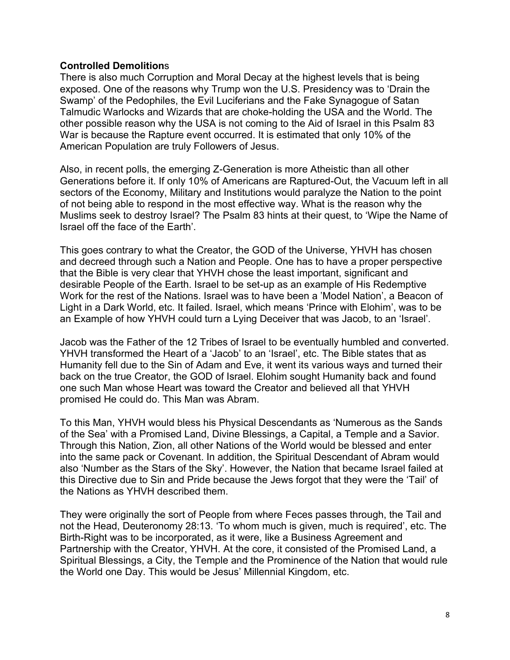## **Controlled Demolition**s

There is also much Corruption and Moral Decay at the highest levels that is being exposed. One of the reasons why Trump won the U.S. Presidency was to 'Drain the Swamp' of the Pedophiles, the Evil Luciferians and the Fake Synagogue of Satan Talmudic Warlocks and Wizards that are choke-holding the USA and the World. The other possible reason why the USA is not coming to the Aid of Israel in this Psalm 83 War is because the Rapture event occurred. It is estimated that only 10% of the American Population are truly Followers of Jesus.

Also, in recent polls, the emerging Z-Generation is more Atheistic than all other Generations before it. If only 10% of Americans are Raptured-Out, the Vacuum left in all sectors of the Economy, Military and Institutions would paralyze the Nation to the point of not being able to respond in the most effective way. What is the reason why the Muslims seek to destroy Israel? The Psalm 83 hints at their quest, to 'Wipe the Name of Israel off the face of the Earth'.

This goes contrary to what the Creator, the GOD of the Universe, YHVH has chosen and decreed through such a Nation and People. One has to have a proper perspective that the Bible is very clear that YHVH chose the least important, significant and desirable People of the Earth. Israel to be set-up as an example of His Redemptive Work for the rest of the Nations. Israel was to have been a 'Model Nation', a Beacon of Light in a Dark World, etc. It failed. Israel, which means 'Prince with Elohim', was to be an Example of how YHVH could turn a Lying Deceiver that was Jacob, to an 'Israel'.

Jacob was the Father of the 12 Tribes of Israel to be eventually humbled and converted. YHVH transformed the Heart of a 'Jacob' to an 'Israel', etc. The Bible states that as Humanity fell due to the Sin of Adam and Eve, it went its various ways and turned their back on the true Creator, the GOD of Israel. Elohim sought Humanity back and found one such Man whose Heart was toward the Creator and believed all that YHVH promised He could do. This Man was Abram.

To this Man, YHVH would bless his Physical Descendants as 'Numerous as the Sands of the Sea' with a Promised Land, Divine Blessings, a Capital, a Temple and a Savior. Through this Nation, Zion, all other Nations of the World would be blessed and enter into the same pack or Covenant. In addition, the Spiritual Descendant of Abram would also 'Number as the Stars of the Sky'. However, the Nation that became Israel failed at this Directive due to Sin and Pride because the Jews forgot that they were the 'Tail' of the Nations as YHVH described them.

They were originally the sort of People from where Feces passes through, the Tail and not the Head, Deuteronomy 28:13. 'To whom much is given, much is required', etc. The Birth-Right was to be incorporated, as it were, like a Business Agreement and Partnership with the Creator, YHVH. At the core, it consisted of the Promised Land, a Spiritual Blessings, a City, the Temple and the Prominence of the Nation that would rule the World one Day. This would be Jesus' Millennial Kingdom, etc.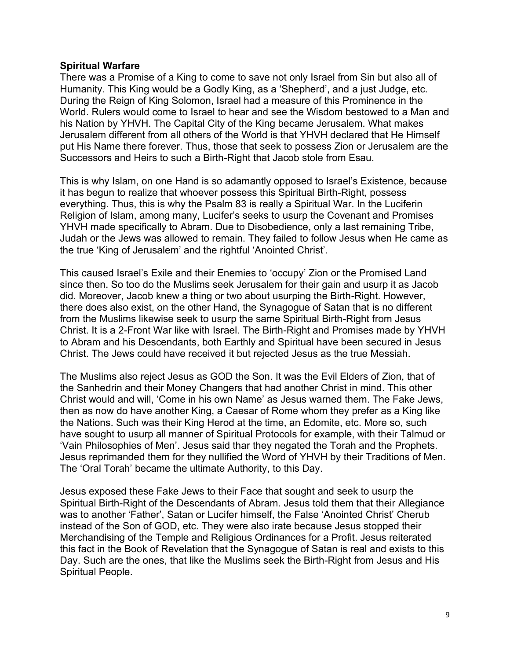## **Spiritual Warfare**

There was a Promise of a King to come to save not only Israel from Sin but also all of Humanity. This King would be a Godly King, as a 'Shepherd', and a just Judge, etc. During the Reign of King Solomon, Israel had a measure of this Prominence in the World. Rulers would come to Israel to hear and see the Wisdom bestowed to a Man and his Nation by YHVH. The Capital City of the King became Jerusalem. What makes Jerusalem different from all others of the World is that YHVH declared that He Himself put His Name there forever. Thus, those that seek to possess Zion or Jerusalem are the Successors and Heirs to such a Birth-Right that Jacob stole from Esau.

This is why Islam, on one Hand is so adamantly opposed to Israel's Existence, because it has begun to realize that whoever possess this Spiritual Birth-Right, possess everything. Thus, this is why the Psalm 83 is really a Spiritual War. In the Luciferin Religion of Islam, among many, Lucifer's seeks to usurp the Covenant and Promises YHVH made specifically to Abram. Due to Disobedience, only a last remaining Tribe, Judah or the Jews was allowed to remain. They failed to follow Jesus when He came as the true 'King of Jerusalem' and the rightful 'Anointed Christ'.

This caused Israel's Exile and their Enemies to 'occupy' Zion or the Promised Land since then. So too do the Muslims seek Jerusalem for their gain and usurp it as Jacob did. Moreover, Jacob knew a thing or two about usurping the Birth-Right. However, there does also exist, on the other Hand, the Synagogue of Satan that is no different from the Muslims likewise seek to usurp the same Spiritual Birth-Right from Jesus Christ. It is a 2-Front War like with Israel. The Birth-Right and Promises made by YHVH to Abram and his Descendants, both Earthly and Spiritual have been secured in Jesus Christ. The Jews could have received it but rejected Jesus as the true Messiah.

The Muslims also reject Jesus as GOD the Son. It was the Evil Elders of Zion, that of the Sanhedrin and their Money Changers that had another Christ in mind. This other Christ would and will, 'Come in his own Name' as Jesus warned them. The Fake Jews, then as now do have another King, a Caesar of Rome whom they prefer as a King like the Nations. Such was their King Herod at the time, an Edomite, etc. More so, such have sought to usurp all manner of Spiritual Protocols for example, with their Talmud or 'Vain Philosophies of Men'. Jesus said thar they negated the Torah and the Prophets. Jesus reprimanded them for they nullified the Word of YHVH by their Traditions of Men. The 'Oral Torah' became the ultimate Authority, to this Day.

Jesus exposed these Fake Jews to their Face that sought and seek to usurp the Spiritual Birth-Right of the Descendants of Abram. Jesus told them that their Allegiance was to another 'Father', Satan or Lucifer himself, the False 'Anointed Christ' Cherub instead of the Son of GOD, etc. They were also irate because Jesus stopped their Merchandising of the Temple and Religious Ordinances for a Profit. Jesus reiterated this fact in the Book of Revelation that the Synagogue of Satan is real and exists to this Day. Such are the ones, that like the Muslims seek the Birth-Right from Jesus and His Spiritual People.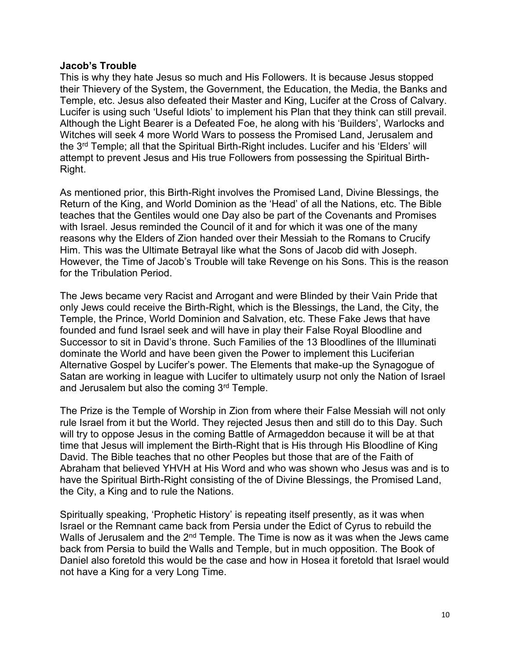## **Jacob's Trouble**

This is why they hate Jesus so much and His Followers. It is because Jesus stopped their Thievery of the System, the Government, the Education, the Media, the Banks and Temple, etc. Jesus also defeated their Master and King, Lucifer at the Cross of Calvary. Lucifer is using such 'Useful Idiots' to implement his Plan that they think can still prevail. Although the Light Bearer is a Defeated Foe, he along with his 'Builders', Warlocks and Witches will seek 4 more World Wars to possess the Promised Land, Jerusalem and the 3rd Temple; all that the Spiritual Birth-Right includes. Lucifer and his 'Elders' will attempt to prevent Jesus and His true Followers from possessing the Spiritual Birth-Right.

As mentioned prior, this Birth-Right involves the Promised Land, Divine Blessings, the Return of the King, and World Dominion as the 'Head' of all the Nations, etc. The Bible teaches that the Gentiles would one Day also be part of the Covenants and Promises with Israel. Jesus reminded the Council of it and for which it was one of the many reasons why the Elders of Zion handed over their Messiah to the Romans to Crucify Him. This was the Ultimate Betrayal like what the Sons of Jacob did with Joseph. However, the Time of Jacob's Trouble will take Revenge on his Sons. This is the reason for the Tribulation Period.

The Jews became very Racist and Arrogant and were Blinded by their Vain Pride that only Jews could receive the Birth-Right, which is the Blessings, the Land, the City, the Temple, the Prince, World Dominion and Salvation, etc. These Fake Jews that have founded and fund Israel seek and will have in play their False Royal Bloodline and Successor to sit in David's throne. Such Families of the 13 Bloodlines of the Illuminati dominate the World and have been given the Power to implement this Luciferian Alternative Gospel by Lucifer's power. The Elements that make-up the Synagogue of Satan are working in league with Lucifer to ultimately usurp not only the Nation of Israel and Jerusalem but also the coming  $3<sup>rd</sup>$  Temple.

The Prize is the Temple of Worship in Zion from where their False Messiah will not only rule Israel from it but the World. They rejected Jesus then and still do to this Day. Such will try to oppose Jesus in the coming Battle of Armageddon because it will be at that time that Jesus will implement the Birth-Right that is His through His Bloodline of King David. The Bible teaches that no other Peoples but those that are of the Faith of Abraham that believed YHVH at His Word and who was shown who Jesus was and is to have the Spiritual Birth-Right consisting of the of Divine Blessings, the Promised Land, the City, a King and to rule the Nations.

Spiritually speaking, 'Prophetic History' is repeating itself presently, as it was when Israel or the Remnant came back from Persia under the Edict of Cyrus to rebuild the Walls of Jerusalem and the 2<sup>nd</sup> Temple. The Time is now as it was when the Jews came back from Persia to build the Walls and Temple, but in much opposition. The Book of Daniel also foretold this would be the case and how in Hosea it foretold that Israel would not have a King for a very Long Time.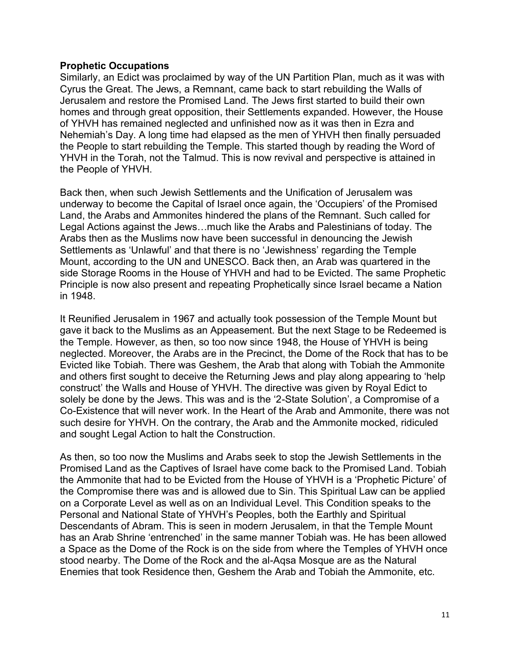## **Prophetic Occupations**

Similarly, an Edict was proclaimed by way of the UN Partition Plan, much as it was with Cyrus the Great. The Jews, a Remnant, came back to start rebuilding the Walls of Jerusalem and restore the Promised Land. The Jews first started to build their own homes and through great opposition, their Settlements expanded. However, the House of YHVH has remained neglected and unfinished now as it was then in Ezra and Nehemiah's Day. A long time had elapsed as the men of YHVH then finally persuaded the People to start rebuilding the Temple. This started though by reading the Word of YHVH in the Torah, not the Talmud. This is now revival and perspective is attained in the People of YHVH.

Back then, when such Jewish Settlements and the Unification of Jerusalem was underway to become the Capital of Israel once again, the 'Occupiers' of the Promised Land, the Arabs and Ammonites hindered the plans of the Remnant. Such called for Legal Actions against the Jews…much like the Arabs and Palestinians of today. The Arabs then as the Muslims now have been successful in denouncing the Jewish Settlements as 'Unlawful' and that there is no 'Jewishness' regarding the Temple Mount, according to the UN and UNESCO. Back then, an Arab was quartered in the side Storage Rooms in the House of YHVH and had to be Evicted. The same Prophetic Principle is now also present and repeating Prophetically since Israel became a Nation in 1948.

It Reunified Jerusalem in 1967 and actually took possession of the Temple Mount but gave it back to the Muslims as an Appeasement. But the next Stage to be Redeemed is the Temple. However, as then, so too now since 1948, the House of YHVH is being neglected. Moreover, the Arabs are in the Precinct, the Dome of the Rock that has to be Evicted like Tobiah. There was Geshem, the Arab that along with Tobiah the Ammonite and others first sought to deceive the Returning Jews and play along appearing to 'help construct' the Walls and House of YHVH. The directive was given by Royal Edict to solely be done by the Jews. This was and is the '2-State Solution', a Compromise of a Co-Existence that will never work. In the Heart of the Arab and Ammonite, there was not such desire for YHVH. On the contrary, the Arab and the Ammonite mocked, ridiculed and sought Legal Action to halt the Construction.

As then, so too now the Muslims and Arabs seek to stop the Jewish Settlements in the Promised Land as the Captives of Israel have come back to the Promised Land. Tobiah the Ammonite that had to be Evicted from the House of YHVH is a 'Prophetic Picture' of the Compromise there was and is allowed due to Sin. This Spiritual Law can be applied on a Corporate Level as well as on an Individual Level. This Condition speaks to the Personal and National State of YHVH's Peoples, both the Earthly and Spiritual Descendants of Abram. This is seen in modern Jerusalem, in that the Temple Mount has an Arab Shrine 'entrenched' in the same manner Tobiah was. He has been allowed a Space as the Dome of the Rock is on the side from where the Temples of YHVH once stood nearby. The Dome of the Rock and the al-Aqsa Mosque are as the Natural Enemies that took Residence then, Geshem the Arab and Tobiah the Ammonite, etc.